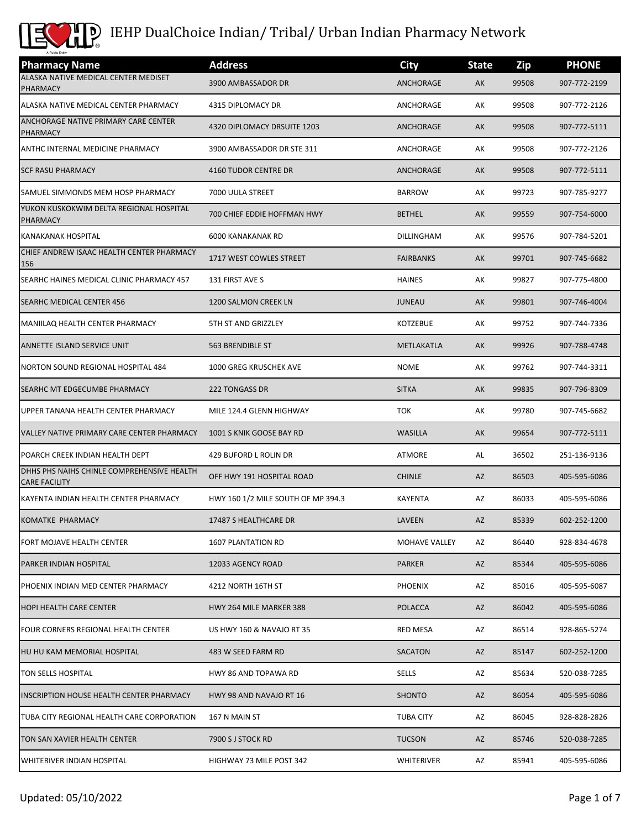

| <b>Pharmacy Name</b>                                               | <b>Address</b>                     | <b>City</b>       | <b>State</b> | Zip   | <b>PHONE</b> |
|--------------------------------------------------------------------|------------------------------------|-------------------|--------------|-------|--------------|
| ALASKA NATIVE MEDICAL CENTER MEDISET<br>PHARMACY                   | 3900 AMBASSADOR DR                 | ANCHORAGE         | AK           | 99508 | 907-772-2199 |
| ALASKA NATIVE MEDICAL CENTER PHARMACY                              | 4315 DIPLOMACY DR                  | ANCHORAGE         | AK           | 99508 | 907-772-2126 |
| ANCHORAGE NATIVE PRIMARY CARE CENTER<br>PHARMACY                   | 4320 DIPLOMACY DRSUITE 1203        | ANCHORAGE         | AK           | 99508 | 907-772-5111 |
| ANTHC INTERNAL MEDICINE PHARMACY                                   | 3900 AMBASSADOR DR STE 311         | ANCHORAGE         | АK           | 99508 | 907-772-2126 |
| <b>SCF RASU PHARMACY</b>                                           | <b>4160 TUDOR CENTRE DR</b>        | ANCHORAGE         | AK           | 99508 | 907-772-5111 |
| SAMUEL SIMMONDS MEM HOSP PHARMACY                                  | 7000 UULA STREET                   | <b>BARROW</b>     | AK           | 99723 | 907-785-9277 |
| YUKON KUSKOKWIM DELTA REGIONAL HOSPITAL<br><b>PHARMACY</b>         | 700 CHIEF EDDIE HOFFMAN HWY        | <b>BETHEL</b>     | AK           | 99559 | 907-754-6000 |
| <b>KANAKANAK HOSPITAL</b>                                          | 6000 KANAKANAK RD                  | DILLINGHAM        | АK           | 99576 | 907-784-5201 |
| CHIEF ANDREW ISAAC HEALTH CENTER PHARMACY<br>156                   | 1717 WEST COWLES STREET            | <b>FAIRBANKS</b>  | AK           | 99701 | 907-745-6682 |
| SEARHC HAINES MEDICAL CLINIC PHARMACY 457                          | 131 FIRST AVE S                    | <b>HAINES</b>     | AK           | 99827 | 907-775-4800 |
| SEARHC MEDICAL CENTER 456                                          | 1200 SALMON CREEK LN               | <b>JUNEAU</b>     | AK           | 99801 | 907-746-4004 |
| MANIILAQ HEALTH CENTER PHARMACY                                    | 5TH ST AND GRIZZLEY                | <b>KOTZEBUE</b>   | АK           | 99752 | 907-744-7336 |
| ANNETTE ISLAND SERVICE UNIT                                        | 563 BRENDIBLE ST                   | <b>METLAKATLA</b> | AK           | 99926 | 907-788-4748 |
| NORTON SOUND REGIONAL HOSPITAL 484                                 | 1000 GREG KRUSCHEK AVE             | <b>NOME</b>       | AK           | 99762 | 907-744-3311 |
| SEARHC MT EDGECUMBE PHARMACY                                       | <b>222 TONGASS DR</b>              | <b>SITKA</b>      | AK           | 99835 | 907-796-8309 |
| UPPER TANANA HEALTH CENTER PHARMACY                                | MILE 124.4 GLENN HIGHWAY           | <b>TOK</b>        | АK           | 99780 | 907-745-6682 |
| VALLEY NATIVE PRIMARY CARE CENTER PHARMACY                         | 1001 S KNIK GOOSE BAY RD           | <b>WASILLA</b>    | AK           | 99654 | 907-772-5111 |
| POARCH CREEK INDIAN HEALTH DEPT                                    | 429 BUFORD L ROLIN DR              | <b>ATMORE</b>     | AL           | 36502 | 251-136-9136 |
| DHHS PHS NAIHS CHINLE COMPREHENSIVE HEALTH<br><b>CARE FACILITY</b> | OFF HWY 191 HOSPITAL ROAD          | <b>CHINLE</b>     | AZ           | 86503 | 405-595-6086 |
| KAYENTA INDIAN HEALTH CENTER PHARMACY                              | HWY 160 1/2 MILE SOUTH OF MP 394.3 | KAYENTA           | AZ           | 86033 | 405-595-6086 |
| KOMATKE PHARMACY                                                   | 17487 S HEALTHCARE DR              | LAVEEN            | AZ           | 85339 | 602-252-1200 |
| FORT MOJAVE HEALTH CENTER                                          | 1607 PLANTATION RD                 | MOHAVE VALLEY     | AZ           | 86440 | 928-834-4678 |
| <b>PARKER INDIAN HOSPITAL</b>                                      | 12033 AGENCY ROAD                  | <b>PARKER</b>     | AZ           | 85344 | 405-595-6086 |
| PHOENIX INDIAN MED CENTER PHARMACY                                 | 4212 NORTH 16TH ST                 | <b>PHOENIX</b>    | AZ           | 85016 | 405-595-6087 |
| <b>HOPI HEALTH CARE CENTER</b>                                     | HWY 264 MILE MARKER 388            | <b>POLACCA</b>    | AZ           | 86042 | 405-595-6086 |
| FOUR CORNERS REGIONAL HEALTH CENTER                                | US HWY 160 & NAVAJO RT 35          | <b>RED MESA</b>   | AZ           | 86514 | 928-865-5274 |
| HU HU KAM MEMORIAL HOSPITAL                                        | 483 W SEED FARM RD                 | <b>SACATON</b>    | AZ           | 85147 | 602-252-1200 |
| TON SELLS HOSPITAL                                                 | HWY 86 AND TOPAWA RD               | SELLS             | AZ           | 85634 | 520-038-7285 |
| <b>INSCRIPTION HOUSE HEALTH CENTER PHARMACY</b>                    | HWY 98 AND NAVAJO RT 16            | <b>SHONTO</b>     | AZ           | 86054 | 405-595-6086 |
| TUBA CITY REGIONAL HEALTH CARE CORPORATION                         | 167 N MAIN ST                      | <b>TUBA CITY</b>  | AZ           | 86045 | 928-828-2826 |
| TON SAN XAVIER HEALTH CENTER                                       | 7900 S J STOCK RD                  | <b>TUCSON</b>     | AZ           | 85746 | 520-038-7285 |
| <b>WHITERIVER INDIAN HOSPITAL</b>                                  | HIGHWAY 73 MILE POST 342           | WHITERIVER        | AZ           | 85941 | 405-595-6086 |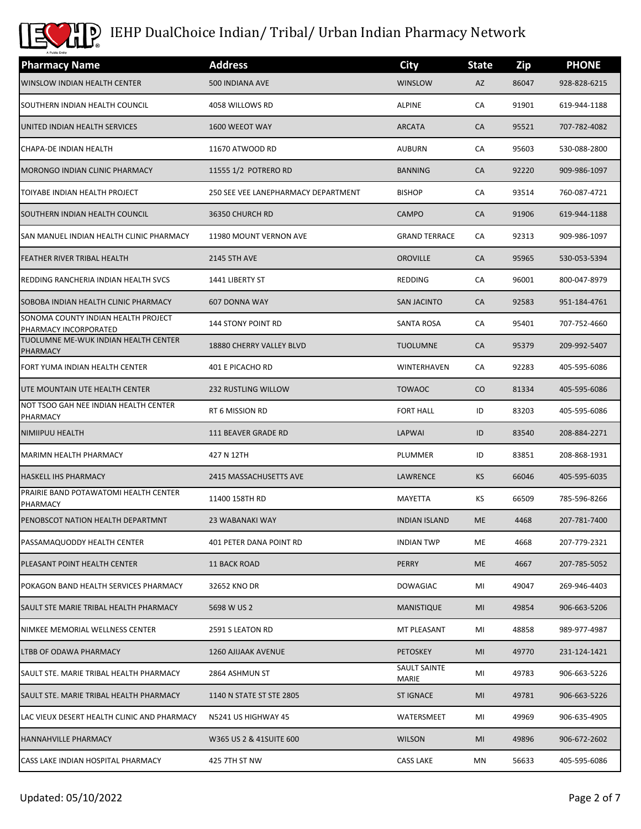

| A Public Entity<br><b>Pharmacy Name</b>                      | <b>Address</b>                      | <b>City</b>           | <b>State</b> | Zip   | <b>PHONE</b> |
|--------------------------------------------------------------|-------------------------------------|-----------------------|--------------|-------|--------------|
| <b>WINSLOW INDIAN HEALTH CENTER</b>                          | 500 INDIANA AVE                     | <b>WINSLOW</b>        | AZ           | 86047 | 928-828-6215 |
| SOUTHERN INDIAN HEALTH COUNCIL                               | 4058 WILLOWS RD                     | <b>ALPINE</b>         | CA           | 91901 | 619-944-1188 |
| UNITED INDIAN HEALTH SERVICES                                | 1600 WEEOT WAY                      | <b>ARCATA</b>         | CA           | 95521 | 707-782-4082 |
| CHAPA-DE INDIAN HEALTH                                       | 11670 ATWOOD RD                     | <b>AUBURN</b>         | CA           | 95603 | 530-088-2800 |
| MORONGO INDIAN CLINIC PHARMACY                               | 11555 1/2 POTRERO RD                | <b>BANNING</b>        | <b>CA</b>    | 92220 | 909-986-1097 |
| TOIYABE INDIAN HEALTH PROJECT                                | 250 SEE VEE LANEPHARMACY DEPARTMENT | <b>BISHOP</b>         | CA           | 93514 | 760-087-4721 |
| SOUTHERN INDIAN HEALTH COUNCIL                               | 36350 CHURCH RD                     | CAMPO                 | CA           | 91906 | 619-944-1188 |
| SAN MANUEL INDIAN HEALTH CLINIC PHARMACY                     | 11980 MOUNT VERNON AVE              | <b>GRAND TERRACE</b>  | СA           | 92313 | 909-986-1097 |
| <b>FEATHER RIVER TRIBAL HEALTH</b>                           | <b>2145 5TH AVE</b>                 | <b>OROVILLE</b>       | CA           | 95965 | 530-053-5394 |
| REDDING RANCHERIA INDIAN HEALTH SVCS                         | 1441 LIBERTY ST                     | REDDING               | CA           | 96001 | 800-047-8979 |
| SOBOBA INDIAN HEALTH CLINIC PHARMACY                         | 607 DONNA WAY                       | <b>SAN JACINTO</b>    | CA           | 92583 | 951-184-4761 |
| SONOMA COUNTY INDIAN HEALTH PROJECT<br>PHARMACY INCORPORATED | <b>144 STONY POINT RD</b>           | SANTA ROSA            | CA           | 95401 | 707-752-4660 |
| TUOLUMNE ME-WUK INDIAN HEALTH CENTER<br>PHARMACY             | 18880 CHERRY VALLEY BLVD            | <b>TUOLUMNE</b>       | CA           | 95379 | 209-992-5407 |
| FORT YUMA INDIAN HEALTH CENTER                               | 401 E PICACHO RD                    | WINTERHAVEN           | CA           | 92283 | 405-595-6086 |
| UTE MOUNTAIN UTE HEALTH CENTER                               | <b>232 RUSTLING WILLOW</b>          | <b>TOWAOC</b>         | $\rm CO$     | 81334 | 405-595-6086 |
| NOT TSOO GAH NEE INDIAN HEALTH CENTER<br>PHARMACY            | RT 6 MISSION RD                     | <b>FORT HALL</b>      | ID           | 83203 | 405-595-6086 |
| NIMIIPUU HEALTH                                              | 111 BEAVER GRADE RD                 | LAPWAI                | ID           | 83540 | 208-884-2271 |
| <b>MARIMN HEALTH PHARMACY</b>                                | 427 N 12TH                          | PLUMMER               | ID           | 83851 | 208-868-1931 |
| <b>HASKELL IHS PHARMACY</b>                                  | 2415 MASSACHUSETTS AVE              | LAWRENCE              | <b>KS</b>    | 66046 | 405-595-6035 |
| PRAIRIE BAND POTAWATOMI HEALTH CENTER<br>PHARMACY            | 11400 158TH RD                      | MAYETTA               | КS           | 66509 | 785-596-8266 |
| PENOBSCOT NATION HEALTH DEPARTMNT                            | 23 WABANAKI WAY                     | <b>INDIAN ISLAND</b>  | <b>ME</b>    | 4468  | 207-781-7400 |
| PASSAMAQUODDY HEALTH CENTER                                  | 401 PETER DANA POINT RD             | <b>INDIAN TWP</b>     | ME           | 4668  | 207-779-2321 |
| PLEASANT POINT HEALTH CENTER                                 | 11 BACK ROAD                        | PERRY                 | ME           | 4667  | 207-785-5052 |
| POKAGON BAND HEALTH SERVICES PHARMACY                        | 32652 KNO DR                        | <b>DOWAGIAC</b>       | MI           | 49047 | 269-946-4403 |
| SAULT STE MARIE TRIBAL HEALTH PHARMACY                       | 5698 W US 2                         | <b>MANISTIQUE</b>     | MI           | 49854 | 906-663-5206 |
| NIMKEE MEMORIAL WELLNESS CENTER                              | 2591 S LEATON RD                    | MT PLEASANT           | ΜI           | 48858 | 989-977-4987 |
| LTBB OF ODAWA PHARMACY                                       | 1260 AJIJAAK AVENUE                 | <b>PETOSKEY</b>       | MI           | 49770 | 231-124-1421 |
| SAULT STE. MARIE TRIBAL HEALTH PHARMACY                      | 2864 ASHMUN ST                      | SAULT SAINTE<br>MARIE | MI           | 49783 | 906-663-5226 |
| SAULT STE. MARIE TRIBAL HEALTH PHARMACY                      | 1140 N STATE ST STE 2805            | <b>ST IGNACE</b>      | MI           | 49781 | 906-663-5226 |
| LAC VIEUX DESERT HEALTH CLINIC AND PHARMACY                  | N5241 US HIGHWAY 45                 | WATERSMEET            | ΜI           | 49969 | 906-635-4905 |
| <b>HANNAHVILLE PHARMACY</b>                                  | W365 US 2 & 41SUITE 600             | <b>WILSON</b>         | MI           | 49896 | 906-672-2602 |
| CASS LAKE INDIAN HOSPITAL PHARMACY                           | 425 7TH ST NW                       | CASS LAKE             | MN           | 56633 | 405-595-6086 |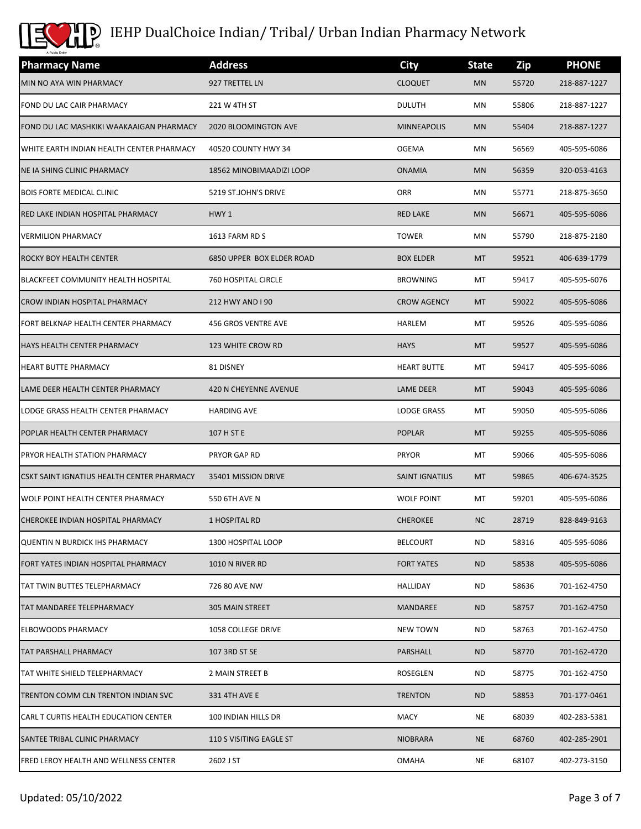

| <b>Pharmacy Name</b>                         | <b>Address</b>                   | <b>City</b>           | <b>State</b> | Zip   | <b>PHONE</b> |
|----------------------------------------------|----------------------------------|-----------------------|--------------|-------|--------------|
| MIN NO AYA WIN PHARMACY                      | 927 TRETTEL LN                   | <b>CLOQUET</b>        | <b>MN</b>    | 55720 | 218-887-1227 |
| FOND DU LAC CAIR PHARMACY                    | 221 W 4TH ST                     | <b>DULUTH</b>         | MN           | 55806 | 218-887-1227 |
| FOND DU LAC MASHKIKI WAAKAAIGAN PHARMACY     | 2020 BLOOMINGTON AVE             | <b>MINNEAPOLIS</b>    | <b>MN</b>    | 55404 | 218-887-1227 |
| WHITE EARTH INDIAN HEALTH CENTER PHARMACY    | 40520 COUNTY HWY 34              | <b>OGEMA</b>          | MN           | 56569 | 405-595-6086 |
| NE IA SHING CLINIC PHARMACY                  | 18562 MINOBIMAADIZI LOOP         | <b>ONAMIA</b>         | <b>MN</b>    | 56359 | 320-053-4163 |
| <b>BOIS FORTE MEDICAL CLINIC</b>             | 5219 ST.JOHN'S DRIVE             | ORR                   | MN           | 55771 | 218-875-3650 |
| RED LAKE INDIAN HOSPITAL PHARMACY            | HWY 1                            | <b>RED LAKE</b>       | <b>MN</b>    | 56671 | 405-595-6086 |
| <b>VERMILION PHARMACY</b>                    | 1613 FARM RD S                   | <b>TOWER</b>          | MN           | 55790 | 218-875-2180 |
| <b>ROCKY BOY HEALTH CENTER</b>               | <b>6850 UPPER BOX ELDER ROAD</b> | <b>BOX ELDER</b>      | MT           | 59521 | 406-639-1779 |
| <b>BLACKFEET COMMUNITY HEALTH HOSPITAL</b>   | 760 HOSPITAL CIRCLE              | <b>BROWNING</b>       | MT           | 59417 | 405-595-6076 |
| CROW INDIAN HOSPITAL PHARMACY                | 212 HWY AND I 90                 | <b>CROW AGENCY</b>    | <b>MT</b>    | 59022 | 405-595-6086 |
| FORT BELKNAP HEALTH CENTER PHARMACY          | 456 GROS VENTRE AVE              | HARLEM                | МT           | 59526 | 405-595-6086 |
| <b>HAYS HEALTH CENTER PHARMACY</b>           | <b>123 WHITE CROW RD</b>         | <b>HAYS</b>           | MT           | 59527 | 405-595-6086 |
| <b>HEART BUTTE PHARMACY</b>                  | 81 DISNEY                        | <b>HEART BUTTE</b>    | MT           | 59417 | 405-595-6086 |
| LAME DEER HEALTH CENTER PHARMACY             | <b>420 N CHEYENNE AVENUE</b>     | LAME DEER             | <b>MT</b>    | 59043 | 405-595-6086 |
| LODGE GRASS HEALTH CENTER PHARMACY           | <b>HARDING AVE</b>               | LODGE GRASS           | МT           | 59050 | 405-595-6086 |
| POPLAR HEALTH CENTER PHARMACY                | 107 H ST E                       | <b>POPLAR</b>         | <b>MT</b>    | 59255 | 405-595-6086 |
| PRYOR HEALTH STATION PHARMACY                | <b>PRYOR GAP RD</b>              | <b>PRYOR</b>          | MT           | 59066 | 405-595-6086 |
| CSKT SAINT IGNATIUS HEALTH CENTER PHARMACY   | 35401 MISSION DRIVE              | <b>SAINT IGNATIUS</b> | MT.          | 59865 | 406-674-3525 |
| WOLF POINT HEALTH CENTER PHARMACY            | 550 6TH AVE N                    | <b>WOLF POINT</b>     | MT           | 59201 | 405-595-6086 |
| CHEROKEE INDIAN HOSPITAL PHARMACY            | 1 HOSPITAL RD                    | <b>CHEROKEE</b>       | NC.          | 28719 | 828-849-9163 |
| <b>QUENTIN N BURDICK IHS PHARMACY</b>        | 1300 HOSPITAL LOOP               | <b>BELCOURT</b>       | <b>ND</b>    | 58316 | 405-595-6086 |
| FORT YATES INDIAN HOSPITAL PHARMACY          | 1010 N RIVER RD                  | <b>FORT YATES</b>     | <b>ND</b>    | 58538 | 405-595-6086 |
| TAT TWIN BUTTES TELEPHARMACY                 | 726 80 AVE NW                    | HALLIDAY              | ND.          | 58636 | 701-162-4750 |
| TAT MANDAREE TELEPHARMACY                    | <b>305 MAIN STREET</b>           | MANDAREE              | ND.          | 58757 | 701-162-4750 |
| <b>ELBOWOODS PHARMACY</b>                    | <b>1058 COLLEGE DRIVE</b>        | <b>NEW TOWN</b>       | ND.          | 58763 | 701-162-4750 |
| <b>TAT PARSHALL PHARMACY</b>                 | 107 3RD ST SE                    | PARSHALL              | <b>ND</b>    | 58770 | 701-162-4720 |
| TAT WHITE SHIELD TELEPHARMACY                | 2 MAIN STREET B                  | ROSEGLEN              | ND.          | 58775 | 701-162-4750 |
| TRENTON COMM CLN TRENTON INDIAN SVC          | 331 4TH AVE E                    | <b>TRENTON</b>        | <b>ND</b>    | 58853 | 701-177-0461 |
| CARL T CURTIS HEALTH EDUCATION CENTER        | 100 INDIAN HILLS DR              | MACY                  | NE           | 68039 | 402-283-5381 |
| SANTEE TRIBAL CLINIC PHARMACY                | 110 S VISITING EAGLE ST          | <b>NIOBRARA</b>       | <b>NE</b>    | 68760 | 402-285-2901 |
| <b>FRED LEROY HEALTH AND WELLNESS CENTER</b> | 2602 J ST                        | <b>OMAHA</b>          | NE           | 68107 | 402-273-3150 |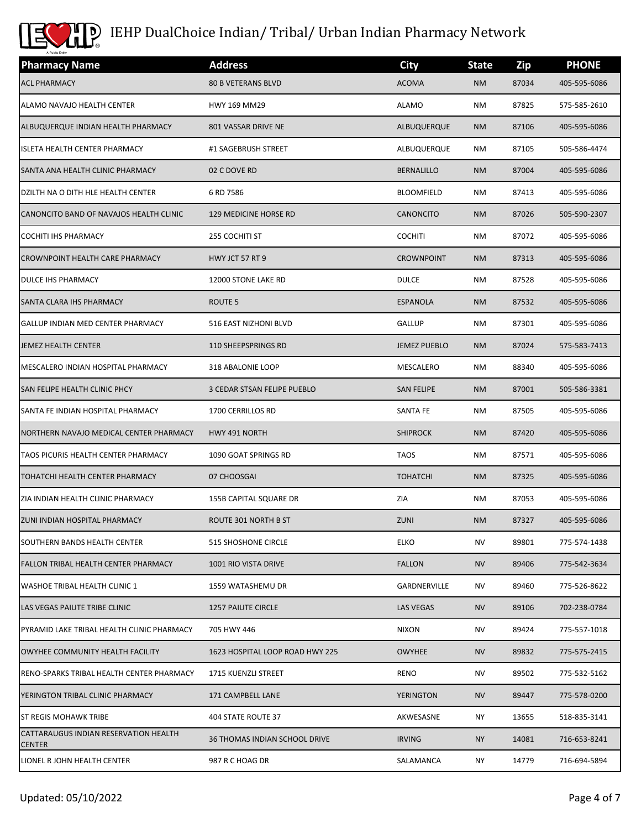

| <b>Pharmacy Name</b>                                   | <b>Address</b>                       | <b>City</b>         | <b>State</b> | Zip   | <b>PHONE</b> |
|--------------------------------------------------------|--------------------------------------|---------------------|--------------|-------|--------------|
| <b>ACL PHARMACY</b>                                    | <b>80 B VETERANS BLVD</b>            | <b>ACOMA</b>        | <b>NM</b>    | 87034 | 405-595-6086 |
| ALAMO NAVAJO HEALTH CENTER                             | <b>HWY 169 MM29</b>                  | <b>ALAMO</b>        | ΝM           | 87825 | 575-585-2610 |
| ALBUQUERQUE INDIAN HEALTH PHARMACY                     | 801 VASSAR DRIVE NE                  | ALBUQUERQUE         | <b>NM</b>    | 87106 | 405-595-6086 |
| <b>ISLETA HEALTH CENTER PHARMACY</b>                   | #1 SAGEBRUSH STREET                  | ALBUQUERQUE         | ΝM           | 87105 | 505-586-4474 |
| SANTA ANA HEALTH CLINIC PHARMACY                       | 02 C DOVE RD                         | <b>BERNALILLO</b>   | <b>NM</b>    | 87004 | 405-595-6086 |
| DZILTH NA O DITH HLE HEALTH CENTER                     | 6 RD 7586                            | <b>BLOOMFIELD</b>   | ΝM           | 87413 | 405-595-6086 |
| CANONCITO BAND OF NAVAJOS HEALTH CLINIC                | <b>129 MEDICINE HORSE RD</b>         | <b>CANONCITO</b>    | <b>NM</b>    | 87026 | 505-590-2307 |
| <b>COCHITI IHS PHARMACY</b>                            | 255 COCHITI ST                       | <b>COCHITI</b>      | ΝM           | 87072 | 405-595-6086 |
| <b>CROWNPOINT HEALTH CARE PHARMACY</b>                 | HWY JCT 57 RT 9                      | <b>CROWNPOINT</b>   | <b>NM</b>    | 87313 | 405-595-6086 |
| <b>DULCE IHS PHARMACY</b>                              | 12000 STONE LAKE RD                  | <b>DULCE</b>        | ΝM           | 87528 | 405-595-6086 |
| SANTA CLARA IHS PHARMACY                               | ROUTE <sub>5</sub>                   | <b>ESPANOLA</b>     | <b>NM</b>    | 87532 | 405-595-6086 |
| GALLUP INDIAN MED CENTER PHARMACY                      | 516 EAST NIZHONI BLVD                | GALLUP              | ΝM           | 87301 | 405-595-6086 |
| JEMEZ HEALTH CENTER                                    | 110 SHEEPSPRINGS RD                  | <b>JEMEZ PUEBLO</b> | <b>NM</b>    | 87024 | 575-583-7413 |
| MESCALERO INDIAN HOSPITAL PHARMACY                     | 318 ABALONIE LOOP                    | MESCALERO           | ΝM           | 88340 | 405-595-6086 |
| <b>SAN FELIPE HEALTH CLINIC PHCY</b>                   | 3 CEDAR STSAN FELIPE PUEBLO          | <b>SAN FELIPE</b>   | <b>NM</b>    | 87001 | 505-586-3381 |
| SANTA FE INDIAN HOSPITAL PHARMACY                      | 1700 CERRILLOS RD                    | SANTA FE            | ΝM           | 87505 | 405-595-6086 |
| NORTHERN NAVAJO MEDICAL CENTER PHARMACY                | <b>HWY 491 NORTH</b>                 | <b>SHIPROCK</b>     | <b>NM</b>    | 87420 | 405-595-6086 |
| TAOS PICURIS HEALTH CENTER PHARMACY                    | 1090 GOAT SPRINGS RD                 | <b>TAOS</b>         | ΝM           | 87571 | 405-595-6086 |
| TOHATCHI HEALTH CENTER PHARMACY                        | 07 CHOOSGAI                          | <b>TOHATCHI</b>     | <b>NM</b>    | 87325 | 405-595-6086 |
| ZIA INDIAN HEALTH CLINIC PHARMACY                      | 155B CAPITAL SQUARE DR               | ZIA                 | ΝM           | 87053 | 405-595-6086 |
| ZUNI INDIAN HOSPITAL PHARMACY                          | ROUTE 301 NORTH B ST                 | ZUNI                | NM.          | 87327 | 405-595-6086 |
| SOUTHERN BANDS HEALTH CENTER                           | <b>515 SHOSHONE CIRCLE</b>           | <b>ELKO</b>         | <b>NV</b>    | 89801 | 775-574-1438 |
| <b>FALLON TRIBAL HEALTH CENTER PHARMACY</b>            | 1001 RIO VISTA DRIVE                 | <b>FALLON</b>       | <b>NV</b>    | 89406 | 775-542-3634 |
| <b>WASHOE TRIBAL HEALTH CLINIC 1</b>                   | 1559 WATASHEMU DR                    | GARDNERVILLE        | <b>NV</b>    | 89460 | 775-526-8622 |
| LAS VEGAS PAIUTE TRIBE CLINIC                          | <b>1257 PAIUTE CIRCLE</b>            | <b>LAS VEGAS</b>    | <b>NV</b>    | 89106 | 702-238-0784 |
| PYRAMID LAKE TRIBAL HEALTH CLINIC PHARMACY             | 705 HWY 446                          | <b>NIXON</b>        | NV           | 89424 | 775-557-1018 |
| OWYHEE COMMUNITY HEALTH FACILITY                       | 1623 HOSPITAL LOOP ROAD HWY 225      | <b>OWYHEE</b>       | <b>NV</b>    | 89832 | 775-575-2415 |
| RENO-SPARKS TRIBAL HEALTH CENTER PHARMACY              | 1715 KUENZLI STREET                  | <b>RENO</b>         | NV           | 89502 | 775-532-5162 |
| YERINGTON TRIBAL CLINIC PHARMACY                       | 171 CAMPBELL LANE                    | <b>YERINGTON</b>    | <b>NV</b>    | 89447 | 775-578-0200 |
| <b>ST REGIS MOHAWK TRIBE</b>                           | 404 STATE ROUTE 37                   | AKWESASNE           | ΝY           | 13655 | 518-835-3141 |
| CATTARAUGUS INDIAN RESERVATION HEALTH<br><b>CENTER</b> | <b>36 THOMAS INDIAN SCHOOL DRIVE</b> | <b>IRVING</b>       | <b>NY</b>    | 14081 | 716-653-8241 |
| LIONEL R JOHN HEALTH CENTER                            | 987 R C HOAG DR                      | SALAMANCA           | ΝY           | 14779 | 716-694-5894 |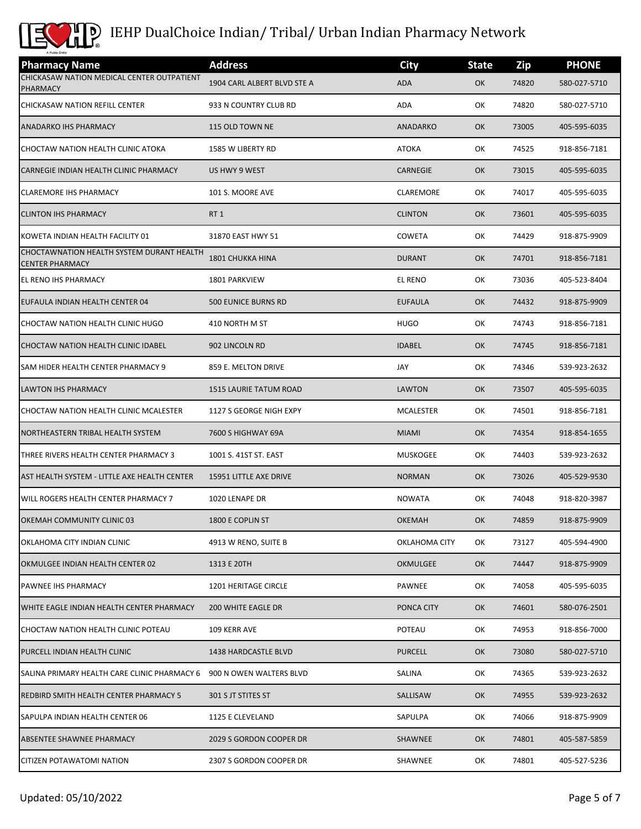

| <b>Pharmacy Name</b>                                                | <b>Address</b>                | <b>City</b>     | <b>State</b> | Zip   | <b>PHONE</b> |
|---------------------------------------------------------------------|-------------------------------|-----------------|--------------|-------|--------------|
| CHICKASAW NATION MEDICAL CENTER OUTPATIENT<br><b>PHARMACY</b>       | 1904 CARL ALBERT BLVD STE A   | <b>ADA</b>      | OK           | 74820 | 580-027-5710 |
| CHICKASAW NATION REFILL CENTER                                      | 933 N COUNTRY CLUB RD         | ADA             | ОК           | 74820 | 580-027-5710 |
| <b>ANADARKO IHS PHARMACY</b>                                        | 115 OLD TOWN NE               | ANADARKO        | OK           | 73005 | 405-595-6035 |
| CHOCTAW NATION HEALTH CLINIC ATOKA                                  | 1585 W LIBERTY RD             | <b>ATOKA</b>    | ОК           | 74525 | 918-856-7181 |
| CARNEGIE INDIAN HEALTH CLINIC PHARMACY                              | US HWY 9 WEST                 | CARNEGIE        | OK           | 73015 | 405-595-6035 |
| <b>CLAREMORE IHS PHARMACY</b>                                       | 101 S. MOORE AVE              | CLAREMORE       | ОК           | 74017 | 405-595-6035 |
| <b>CLINTON IHS PHARMACY</b>                                         | RT <sub>1</sub>               | <b>CLINTON</b>  | OK           | 73601 | 405-595-6035 |
| KOWETA INDIAN HEALTH FACILITY 01                                    | 31870 EAST HWY 51             | COWETA          | ОК           | 74429 | 918-875-9909 |
| CHOCTAWNATION HEALTH SYSTEM DURANT HEALTH<br><b>CENTER PHARMACY</b> | <b>1801 CHUKKA HINA</b>       | <b>DURANT</b>   | OK           | 74701 | 918-856-7181 |
| EL RENO IHS PHARMACY                                                | 1801 PARKVIEW                 | <b>EL RENO</b>  | ОК           | 73036 | 405-523-8404 |
| EUFAULA INDIAN HEALTH CENTER 04                                     | <b>500 EUNICE BURNS RD</b>    | <b>EUFAULA</b>  | OK           | 74432 | 918-875-9909 |
| CHOCTAW NATION HEALTH CLINIC HUGO                                   | 410 NORTH M ST                | <b>HUGO</b>     | ОК           | 74743 | 918-856-7181 |
| CHOCTAW NATION HEALTH CLINIC IDABEL                                 | 902 LINCOLN RD                | <b>IDABEL</b>   | OK           | 74745 | 918-856-7181 |
| SAM HIDER HEALTH CENTER PHARMACY 9                                  | 859 E. MELTON DRIVE           | JAY             | ОК           | 74346 | 539-923-2632 |
| <b>LAWTON IHS PHARMACY</b>                                          | <b>1515 LAURIE TATUM ROAD</b> | <b>LAWTON</b>   | OK           | 73507 | 405-595-6035 |
| CHOCTAW NATION HEALTH CLINIC MCALESTER                              | 1127 S GEORGE NIGH EXPY       | MCALESTER       | ОК           | 74501 | 918-856-7181 |
| NORTHEASTERN TRIBAL HEALTH SYSTEM                                   | 7600 S HIGHWAY 69A            | <b>MIAMI</b>    | OK           | 74354 | 918-854-1655 |
| THREE RIVERS HEALTH CENTER PHARMACY 3                               | 1001 S. 41ST ST. EAST         | <b>MUSKOGEE</b> | ОК           | 74403 | 539-923-2632 |
| AST HEALTH SYSTEM - LITTLE AXE HEALTH CENTER                        | <b>15951 LITTLE AXE DRIVE</b> | <b>NORMAN</b>   | OK           | 73026 | 405-529-9530 |
| WILL ROGERS HEALTH CENTER PHARMACY 7                                | 1020 LENAPE DR                | <b>NOWATA</b>   | ОК           | 74048 | 918-820-3987 |
| OKEMAH COMMUNITY CLINIC 03                                          | 1800 E COPLIN ST              | <b>OKEMAH</b>   | OK           | 74859 | 918-875-9909 |
| OKLAHOMA CITY INDIAN CLINIC                                         | 4913 W RENO, SUITE B          | OKLAHOMA CITY   | ОК           | 73127 | 405-594-4900 |
| OKMULGEE INDIAN HEALTH CENTER 02                                    | 1313 E 20TH                   | OKMULGEE        | OK           | 74447 | 918-875-9909 |
| PAWNEE IHS PHARMACY                                                 | 1201 HERITAGE CIRCLE          | PAWNEE          | ОК           | 74058 | 405-595-6035 |
| WHITE EAGLE INDIAN HEALTH CENTER PHARMACY                           | 200 WHITE EAGLE DR            | PONCA CITY      | OK           | 74601 | 580-076-2501 |
| CHOCTAW NATION HEALTH CLINIC POTEAU                                 | 109 KERR AVE                  | POTEAU          | OK           | 74953 | 918-856-7000 |
| PURCELL INDIAN HEALTH CLINIC                                        | 1438 HARDCASTLE BLVD          | <b>PURCELL</b>  | OK           | 73080 | 580-027-5710 |
| SALINA PRIMARY HEALTH CARE CLINIC PHARMACY 6                        | 900 N OWEN WALTERS BLVD       | SALINA          | ОК           | 74365 | 539-923-2632 |
| REDBIRD SMITH HEALTH CENTER PHARMACY 5                              | 301 S JT STITES ST            | SALLISAW        | <b>OK</b>    | 74955 | 539-923-2632 |
| SAPULPA INDIAN HEALTH CENTER 06                                     | 1125 E CLEVELAND              | SAPULPA         | OK           | 74066 | 918-875-9909 |
| <b>ABSENTEE SHAWNEE PHARMACY</b>                                    | 2029 S GORDON COOPER DR       | SHAWNEE         | OK           | 74801 | 405-587-5859 |
| CITIZEN POTAWATOMI NATION                                           | 2307 S GORDON COOPER DR       | SHAWNEE         | ОК           | 74801 | 405-527-5236 |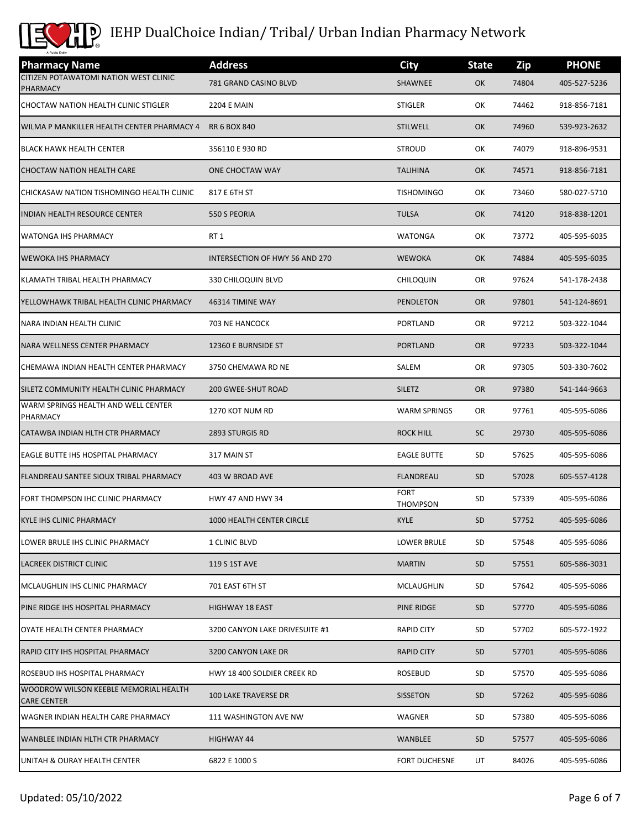

| <b>Pharmacy Name</b>                                        | <b>Address</b>                 | <b>City</b>                    | <b>State</b> | Zip   | <b>PHONE</b> |
|-------------------------------------------------------------|--------------------------------|--------------------------------|--------------|-------|--------------|
| CITIZEN POTAWATOMI NATION WEST CLINIC<br>PHARMACY           | 781 GRAND CASINO BLVD          | SHAWNEE                        | OK           | 74804 | 405-527-5236 |
| CHOCTAW NATION HEALTH CLINIC STIGLER                        | <b>2204 E MAIN</b>             | <b>STIGLER</b>                 | ОК           | 74462 | 918-856-7181 |
| WILMA P MANKILLER HEALTH CENTER PHARMACY 4                  | <b>RR 6 BOX 840</b>            | <b>STILWELL</b>                | OK           | 74960 | 539-923-2632 |
| <b>BLACK HAWK HEALTH CENTER</b>                             | 356110 E 930 RD                | <b>STROUD</b>                  | ОК           | 74079 | 918-896-9531 |
| <b>CHOCTAW NATION HEALTH CARE</b>                           | ONE CHOCTAW WAY                | <b>TALIHINA</b>                | OK           | 74571 | 918-856-7181 |
| CHICKASAW NATION TISHOMINGO HEALTH CLINIC                   | 817 E 6TH ST                   | <b>TISHOMINGO</b>              | ОК           | 73460 | 580-027-5710 |
| INDIAN HEALTH RESOURCE CENTER                               | 550 S PEORIA                   | <b>TULSA</b>                   | OK           | 74120 | 918-838-1201 |
| <b>WATONGA IHS PHARMACY</b>                                 | RT 1                           | WATONGA                        | ОΚ           | 73772 | 405-595-6035 |
| <b>WEWOKA IHS PHARMACY</b>                                  | INTERSECTION OF HWY 56 AND 270 | <b>WEWOKA</b>                  | OK           | 74884 | 405-595-6035 |
| KLAMATH TRIBAL HEALTH PHARMACY                              | 330 CHILOQUIN BLVD             | CHILOQUIN                      | OR           | 97624 | 541-178-2438 |
| YELLOWHAWK TRIBAL HEALTH CLINIC PHARMACY                    | 46314 TIMINE WAY               | <b>PENDLETON</b>               | <b>OR</b>    | 97801 | 541-124-8691 |
| NARA INDIAN HEALTH CLINIC                                   | 703 NE HANCOCK                 | PORTLAND                       | OR           | 97212 | 503-322-1044 |
| NARA WELLNESS CENTER PHARMACY                               | 12360 E BURNSIDE ST            | <b>PORTLAND</b>                | <b>OR</b>    | 97233 | 503-322-1044 |
| CHEMAWA INDIAN HEALTH CENTER PHARMACY                       | 3750 CHEMAWA RD NE             | SALEM                          | OR           | 97305 | 503-330-7602 |
| SILETZ COMMUNITY HEALTH CLINIC PHARMACY                     | <b>200 GWEE-SHUT ROAD</b>      | <b>SILETZ</b>                  | <b>OR</b>    | 97380 | 541-144-9663 |
| WARM SPRINGS HEALTH AND WELL CENTER<br>PHARMACY             | 1270 KOT NUM RD                | <b>WARM SPRINGS</b>            | OR           | 97761 | 405-595-6086 |
| CATAWBA INDIAN HLTH CTR PHARMACY                            | 2893 STURGIS RD                | <b>ROCK HILL</b>               | <b>SC</b>    | 29730 | 405-595-6086 |
| EAGLE BUTTE IHS HOSPITAL PHARMACY                           | 317 MAIN ST                    | <b>EAGLE BUTTE</b>             | <b>SD</b>    | 57625 | 405-595-6086 |
| FLANDREAU SANTEE SIOUX TRIBAL PHARMACY                      | 403 W BROAD AVE                | <b>FLANDREAU</b>               | <b>SD</b>    | 57028 | 605-557-4128 |
| FORT THOMPSON IHC CLINIC PHARMACY                           | HWY 47 AND HWY 34              | <b>FORT</b><br><b>THOMPSON</b> | SD           | 57339 | 405-595-6086 |
| KYLE IHS CLINIC PHARMACY                                    | 1000 HEALTH CENTER CIRCLE      | <b>KYLE</b>                    | <b>SD</b>    | 57752 | 405-595-6086 |
| LOWER BRULE IHS CLINIC PHARMACY                             | 1 CLINIC BLVD                  | LOWER BRULE                    | <b>SD</b>    | 57548 | 405-595-6086 |
| <b>LACREEK DISTRICT CLINIC</b>                              | 119 S 1ST AVE                  | <b>MARTIN</b>                  | <b>SD</b>    | 57551 | 605-586-3031 |
| MCLAUGHLIN IHS CLINIC PHARMACY                              | 701 EAST 6TH ST                | MCLAUGHLIN                     | SD           | 57642 | 405-595-6086 |
| PINE RIDGE IHS HOSPITAL PHARMACY                            | <b>HIGHWAY 18 EAST</b>         | PINE RIDGE                     | <b>SD</b>    | 57770 | 405-595-6086 |
| OYATE HEALTH CENTER PHARMACY                                | 3200 CANYON LAKE DRIVESUITE #1 | <b>RAPID CITY</b>              | <b>SD</b>    | 57702 | 605-572-1922 |
| <b>RAPID CITY IHS HOSPITAL PHARMACY</b>                     | 3200 CANYON LAKE DR            | <b>RAPID CITY</b>              | <b>SD</b>    | 57701 | 405-595-6086 |
| ROSEBUD IHS HOSPITAL PHARMACY                               | HWY 18 400 SOLDIER CREEK RD    | <b>ROSEBUD</b>                 | SD           | 57570 | 405-595-6086 |
| WOODROW WILSON KEEBLE MEMORIAL HEALTH<br><b>CARE CENTER</b> | <b>100 LAKE TRAVERSE DR</b>    | <b>SISSETON</b>                | <b>SD</b>    | 57262 | 405-595-6086 |
| WAGNER INDIAN HEALTH CARE PHARMACY                          | 111 WASHINGTON AVE NW          | WAGNER                         | SD           | 57380 | 405-595-6086 |
| WANBLEE INDIAN HLTH CTR PHARMACY                            | HIGHWAY 44                     | WANBLEE                        | <b>SD</b>    | 57577 | 405-595-6086 |
| UNITAH & OURAY HEALTH CENTER                                | 6822 E 1000 S                  | <b>FORT DUCHESNE</b>           | UT           | 84026 | 405-595-6086 |